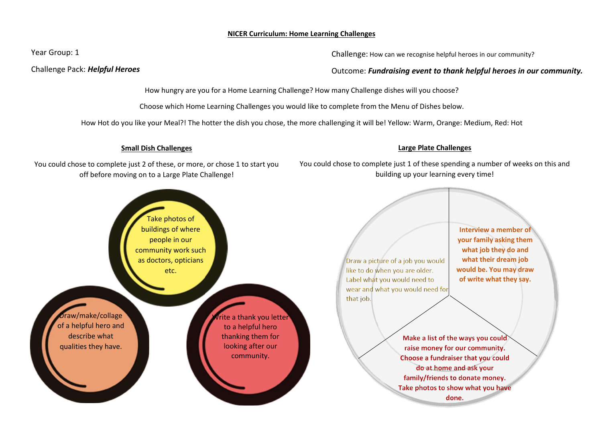## **NICER Curriculum: Home Learning Challenges**

Year Group: 1

Challenge Pack: *Helpful Heroes*

Challenge: How can we recognise helpful heroes in our community?

Outcome: *Fundraising event to thank helpful heroes in our community.* 

How hungry are you for a Home Learning Challenge? How many Challenge dishes will you choose?

Choose which Home Learning Challenges you would like to complete from the Menu of Dishes below.

How Hot do you like your Meal?! The hotter the dish you chose, the more challenging it will be! Yellow: Warm, Orange: Medium, Red: Hot

## **Small Dish Challenges**

You could chose to complete just 2 of these, or more, or chose 1 to start you off before moving on to a Large Plate Challenge!

You could chose to complete just 1 of these spending a number of weeks on this and building up your learning every time!

**Large Plate Challenges**



Draw a picture of a job you would like to do when you are older. Label what you would need to wear and what you would need for

**Interview a member of your family asking them what job they do and what their dream job would be. You may draw of write what they say.** 

Make a list of the ways you could raise money for our community. Choose a fundraiser that you could do at home and ask your family/friends to donate money. Take photos to show what you have done.